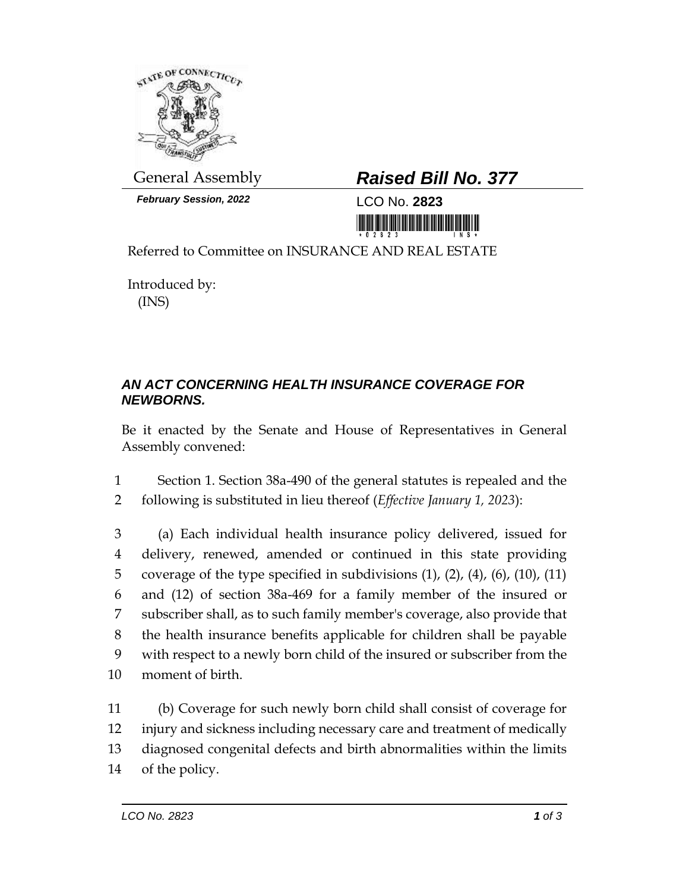

*February Session, 2022* LCO No. **2823**

## General Assembly *Raised Bill No. 377*

<u> III Million Maria Maria Maria Maria Maria Maria Maria Maria Maria Maria Maria Maria Maria Maria Maria Maria M</u>

Referred to Committee on INSURANCE AND REAL ESTATE

Introduced by: (INS)

## *AN ACT CONCERNING HEALTH INSURANCE COVERAGE FOR NEWBORNS.*

Be it enacted by the Senate and House of Representatives in General Assembly convened:

1 Section 1. Section 38a-490 of the general statutes is repealed and the 2 following is substituted in lieu thereof (*Effective January 1, 2023*):

 (a) Each individual health insurance policy delivered, issued for delivery, renewed, amended or continued in this state providing coverage of the type specified in subdivisions (1), (2), (4), (6), (10), (11) and (12) of section 38a-469 for a family member of the insured or subscriber shall, as to such family member's coverage, also provide that the health insurance benefits applicable for children shall be payable with respect to a newly born child of the insured or subscriber from the moment of birth.

 (b) Coverage for such newly born child shall consist of coverage for injury and sickness including necessary care and treatment of medically diagnosed congenital defects and birth abnormalities within the limits of the policy.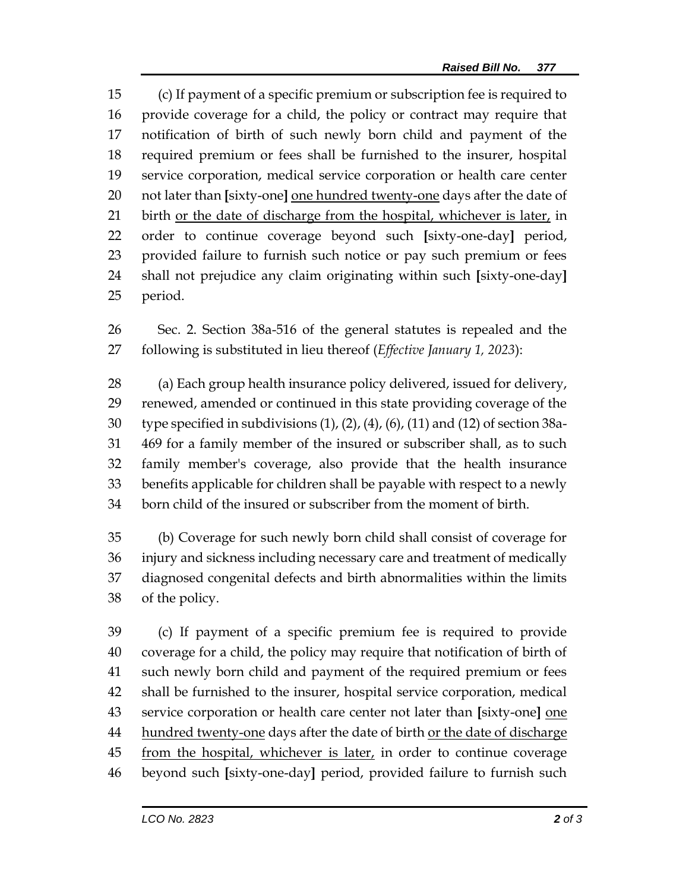(c) If payment of a specific premium or subscription fee is required to provide coverage for a child, the policy or contract may require that notification of birth of such newly born child and payment of the required premium or fees shall be furnished to the insurer, hospital service corporation, medical service corporation or health care center not later than **[**sixty-one**]** one hundred twenty-one days after the date of 21 birth or the date of discharge from the hospital, whichever is later, in order to continue coverage beyond such **[**sixty-one-day**]** period, provided failure to furnish such notice or pay such premium or fees shall not prejudice any claim originating within such **[**sixty-one-day**]** period.

 Sec. 2. Section 38a-516 of the general statutes is repealed and the following is substituted in lieu thereof (*Effective January 1, 2023*):

 (a) Each group health insurance policy delivered, issued for delivery, renewed, amended or continued in this state providing coverage of the type specified in subdivisions (1), (2), (4), (6), (11) and (12) of section 38a- 469 for a family member of the insured or subscriber shall, as to such family member's coverage, also provide that the health insurance benefits applicable for children shall be payable with respect to a newly born child of the insured or subscriber from the moment of birth.

 (b) Coverage for such newly born child shall consist of coverage for injury and sickness including necessary care and treatment of medically diagnosed congenital defects and birth abnormalities within the limits of the policy.

 (c) If payment of a specific premium fee is required to provide coverage for a child, the policy may require that notification of birth of such newly born child and payment of the required premium or fees shall be furnished to the insurer, hospital service corporation, medical service corporation or health care center not later than **[**sixty-one**]** one 44 hundred twenty-one days after the date of birth or the date of discharge 45 from the hospital, whichever is later, in order to continue coverage beyond such **[**sixty-one-day**]** period, provided failure to furnish such